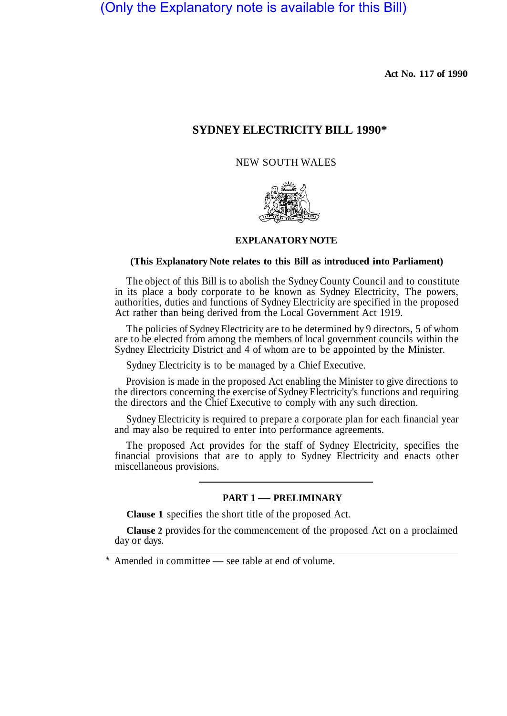(Only the Explanatory note is available for this Bill)

**Act No. 117 of 1990** 

# **SYDNEY ELECTRICITY BILL 1990\***

# NEW SOUTH WALES



#### **EXPLANATORY NOTE**

#### **(This Explanatory Note relates to this Bill as introduced into Parliament)**

The object of this Bill is to abolish the Sydney County Council and to constitute in its place a body corporate to be known as Sydney Electricity, The powers, authorities, duties and functions of Sydney Electricity are specified in the proposed Act rather than being derived from the Local Government Act 1919.

The policies of Sydney Electricity are to be determined by 9 directors, 5 of whom are to be elected from among the members of local government councils within the Sydney Electricity District and 4 of whom are to be appointed by the Minister.

Sydney Electricity is to be managed by a Chief Executive.

Provision is made in the proposed Act enabling the Minister to give directions to the directors concerning the exercise of Sydney Electricity's functions and requiring the directors and the Chief Executive to comply with any such direction.

Sydney Electricity is required to prepare a corporate plan for each financial year and may also be required to enter into performance agreements.

The proposed Act provides for the staff of Sydney Electricity, specifies the financial provisions that are to apply to Sydney Electricity and enacts other miscellaneous provisions.

## **PART 1 — PRELIMINARY**

**Clause 1** specifies the short title of the proposed Act.

**Clause 2** provides for the commencement of the proposed Act on a proclaimed day or days.

<sup>\*</sup> Amended in committee — see table at end of volume.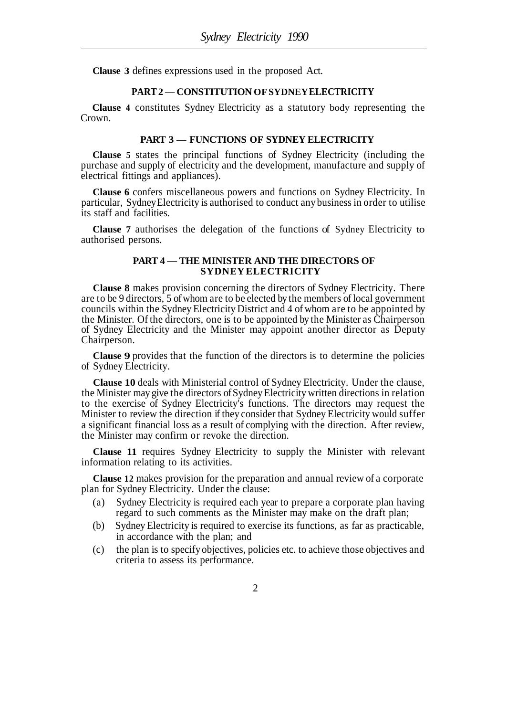**Clause 3** defines expressions used in the proposed Act.

### **PART 2 — CONSTITUTION OF SYDNEY ELECTRICITY**

**Clause 4** constitutes Sydney Electricity as a statutory body representing the Crown.

## **PART 3 — FUNCTIONS OF SYDNEY ELECTRICITY**

**Clause 5** states the principal functions of Sydney Electricity (including the purchase and supply of electricity and the development, manufacture and supply of electrical fittings and appliances).

**Clause 6** confers miscellaneous powers and functions on Sydney Electricity. In particular, Sydney Electricity is authorised to conduct any business in order to utilise its staff and facilities.

**Clause 7** authorises the delegation of the functions of Sydney Electricity to authorised persons.

### **PART 4 — THE MINISTER AND THE DIRECTORS OF SYDNEY ELECTRICITY**

**Clause 8** makes provision concerning the directors of Sydney Electricity. There are to be 9 directors, 5 of whom are to be elected by the members of local government councils within the Sydney Electricity District and 4 of whom are to be appointed by the Minister. Of the directors, one is to be appointed by the Minister as Chairperson of Sydney Electricity and the Minister may appoint another director as Deputy Chairperson.

**Clause 9** provides that the function of the directors is to determine the policies of Sydney Electricity.

**Clause 10** deals with Ministerial control of Sydney Electricity. Under the clause, the Minister may give the directors of Sydney Electricity written directions in relation to the exercise of Sydney Electricity's functions. The directors may request the Minister to review the direction if they consider that Sydney Electricity would suffer a significant financial loss as a result of complying with the direction. After review, the Minister may confirm or revoke the direction.

**Clause 11** requires Sydney Electricity to supply the Minister with relevant information relating to its activities.

**Clause 12** makes provision for the preparation and annual review of a corporate plan for Sydney Electricity. Under the clause:

- (a) Sydney Electricity is required each year to prepare a corporate plan having regard to such comments as the Minister may make on the draft plan;
- (b) Sydney Electricity is required to exercise its functions, as far as practicable, in accordance with the plan; and
- (c) the plan is to specify objectives, policies etc. to achieve those objectives and criteria to assess its performance.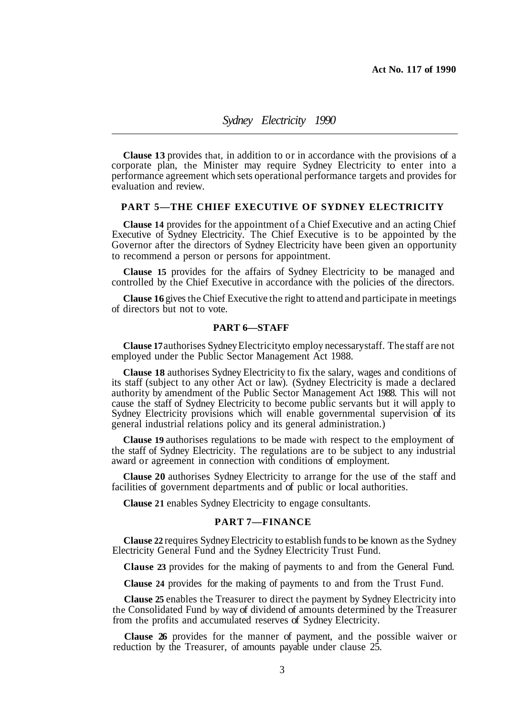**Clause 13** provides that, in addition to or in accordance with the provisions of a corporate plan, the Minister may require Sydney Electricity to enter into a performance agreement which sets operational performance targets and provides for evaluation and review.

## **PART 5—THE CHIEF EXECUTIVE OF SYDNEY ELECTRICITY**

**Clause 14** provides for the appointment of a Chief Executive and an acting Chief Executive of Sydney Electricity. The Chief Executive is to be appointed by the Governor after the directors of Sydney Electricity have been given an opportunity to recommend a person or persons for appointment.

**Clause 15** provides for the affairs of Sydney Electricity to be managed and controlled by the Chief Executive in accordance with the policies of the directors.

**Clause 16** gives the Chief Executive the right to attend and participate in meetings of directors but not to vote.

# **PART 6—STAFF**

**Clause 17** authorises Sydney Electricity to employ necessary staff. The staff are not employed under the Public Sector Management Act 1988.

**Clause 18** authorises Sydney Electricity to fix the salary, wages and conditions of its staff (subject to any other Act or law). (Sydney Electricity is made a declared authority by amendment of the Public Sector Management Act 1988. This will not cause the staff of Sydney Electricity to become public servants but it will apply to Sydney Electricity provisions which will enable governmental supervision of its general industrial relations policy and its general administration.)

**Clause 19** authorises regulations to be made with respect to the employment of the staff of Sydney Electricity. The regulations are to be subject to any industrial award or agreement in connection with conditions of employment.

**Clause 20** authorises Sydney Electricity to arrange for the use of the staff and facilities of government departments and of public or local authorities.

**Clause 21** enables Sydney Electricity to engage consultants.

#### **PART 7—FINANCE**

**Clause 22** requires Sydney Electricity to establish funds to be known as the Sydney Electricity General Fund and the Sydney Electricity Trust Fund.

**Clause 23** provides for the making of payments to and from the General Fund.

**Clause 24** provides for the making of payments to and from the Trust Fund.

**Clause 25** enables the Treasurer to direct the payment by Sydney Electricity into the Consolidated Fund by way of dividend of amounts determined by the Treasurer from the profits and accumulated reserves of Sydney Electricity.

**Clause 26** provides for the manner of payment, and the possible waiver or reduction by the Treasurer, of amounts payable under clause 25.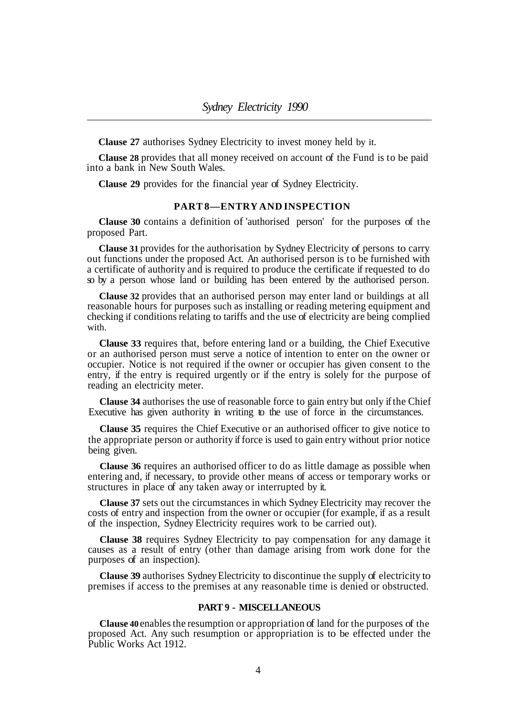**Clause 27** authorises Sydney Electricity to invest money held by it.

**Clause 28** provides that all money received on account of the Fund is to be paid into a bank in New South Wales.

**Clause 29** provides for the financial year of Sydney Electricity.

## **PART 8—ENTRY AND INSPECTION**

**Clause 30** contains a definition of 'authorised person' for the purposes of the proposed Part.

**Clause 31** provides for the authorisation by Sydney Electricity of persons to carry out functions under the proposed Act. An authorised person is to be furnished with a certificate of authority and is required to produce the certificate if requested to do so by a person whose land or building has been entered by the authorised person.

**Clause 32** provides that an authorised person may enter land or buildings at all reasonable hours for purposes such as installing or reading metering equipment and checking if conditions relating to tariffs and the use of electricity are being complied with.

**Clause 33** requires that, before entering land or a building, the Chief Executive or an authorised person must serve a notice of intention to enter on the owner or occupier. Notice is not required if the owner or occupier has given consent to the entry, if the entry is required urgently or if the entry is solely for the purpose of reading an electricity meter.

**Clause 34** authorises the use of reasonable force to gain entry but only if the Chief Executive has given authority in writing to the use of force in the circumstances.

**Clause 35** requires the Chief Executive or an authorised officer to give notice to the appropriate person or authority if force is used to gain entry without prior notice being given.

**Clause 36** requires an authorised officer to do as little damage as possible when entering and, if necessary, to provide other means of access or temporary works or structures in place of any taken away or interrupted by it.

**Clause 37** sets out the circumstances in which Sydney Electricity may recover the costs of entry and inspection from the owner or occupier (for example, if as a result of the inspection, Sydney Electricity requires work to be carried out).

**Clause 38** requires Sydney Electricity to pay compensation for any damage it causes as a result of entry (other than damage arising from work done for the purposes of an inspection).

**Clause 39** authorises Sydney Electricity to discontinue the supply of electricity to premises if access to the premises at any reasonable time is denied or obstructed.

## **PART 9 - MISCELLANEOUS**

**Clause 40** enables the resumption or appropriation of land for the purposes of the proposed Act. Any such resumption or appropriation is to be effected under the Public Works Act 1912.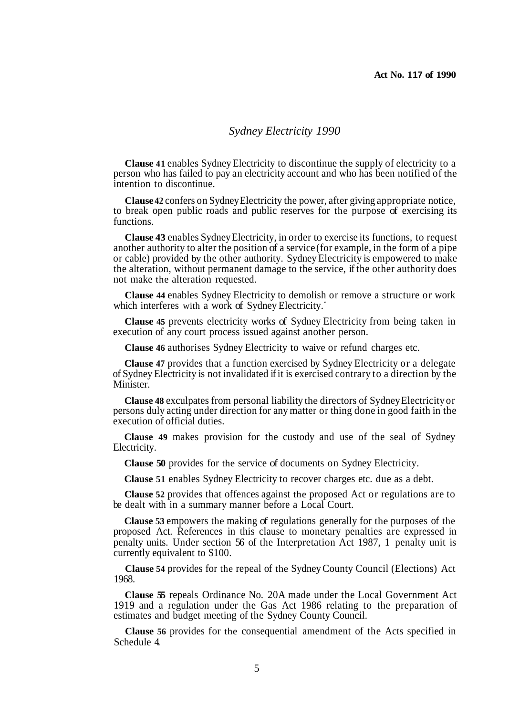**Clause 41** enables Sydney Electricity to discontinue the supply of electricity to a person who has failed to pay an electricity account and who has been notified of the intention to discontinue.

**Clause 42** confers on Sydney Electricity the power, after giving appropriate notice, to break open public roads and public reserves for the purpose of exercising its functions.

**Clause 43** enables Sydney Electricity, in order to exercise its functions, to request another authority to alter the position of a service (for example, in the form of a pipe or cable) provided by the other authority. Sydney Electricity is empowered to make the alteration, without permanent damage to the service, if the other authority does not make the alteration requested.

**Clause 44** enables Sydney Electricity to demolish or remove a structure or work which interferes with a work of Sydney Electricity.

**Clause 45** prevents electricity works of Sydney Electricity from being taken in execution of any court process issued against another person.

**Clause 46** authorises Sydney Electricity to waive or refund charges etc.

**Clause 47** provides that a function exercised by Sydney Electricity or a delegate of Sydney Electricity is not invalidated if it is exercised contrary to a direction by the Minister.

**Clause 48** exculpates from personal liability the directors of Sydney Electricity or persons duly acting under direction for any matter or thing done in good faith in the execution of official duties.

**Clause 49** makes provision for the custody and use of the seal of Sydney Electricity.

**Clause 50** provides for the service of documents on Sydney Electricity.

**Clause 51** enables Sydney Electricity to recover charges etc. due as a debt.

**Clause 52** provides that offences against the proposed Act or regulations are to be dealt with in a summary manner before a Local Court.

**Clause 53** empowers the making of regulations generally for the purposes of the proposed Act. References in this clause to monetary penalties are expressed in penalty units. Under section 56 of the Interpretation Act 1987, 1 penalty unit is currently equivalent to \$100.

**Clause 54** provides for the repeal of the Sydney County Council (Elections) Act 1968.

**Clause 55** repeals Ordinance No. 20A made under the Local Government Act 1919 and a regulation under the Gas Act 1986 relating to the preparation of estimates and budget meeting of the Sydney County Council.

**Clause 56** provides for the consequential amendment of the Acts specified in Schedule 4.